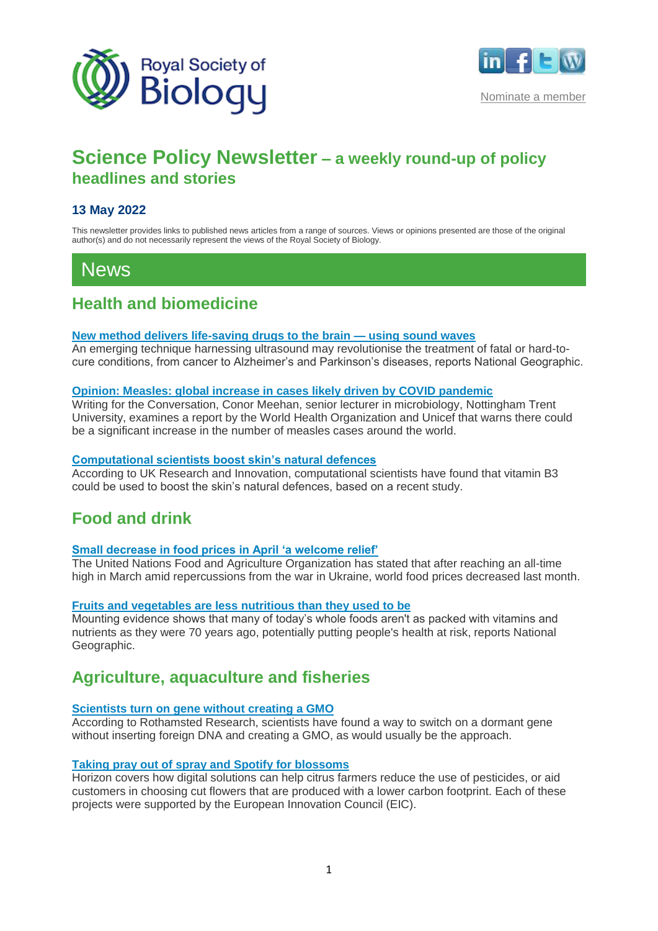



[Nominate a member](mailto:membership@rsb.org.uk?subject=I%20would%20like%20to%20nominate%20someone%20for%20membership%20of%20the%20Society)

# **Science Policy Newsletter – a weekly round-up of policy headlines and stories**

#### **13 May 2022**

This newsletter provides links to published news articles from a range of sources. Views or opinions presented are those of the original author(s) and do not necessarily represent the views of the Royal Society of Biology.

# News

## **Health and biomedicine**

#### **[New method delivers life-saving drugs to the brain —](https://www.nationalgeographic.co.uk/science-and-technology/2022/05/new-method-delivers-life-saving-drugs-to-the-brain-using-sound-waves) using sound waves**

An emerging technique harnessing ultrasound may revolutionise the treatment of fatal or hard-tocure conditions, from cancer to Alzheimer's and Parkinson's diseases, reports National Geographic.

#### **[Opinion: Measles: global increase in cases likely driven by COVID pandemic](https://theconversation.com/measles-global-increase-in-cases-likely-driven-by-covid-pandemic-182250)**

Writing for the Conversation, Conor Meehan, senior lecturer in microbiology, Nottingham Trent University, examines a report by the World Health Organization and Unicef that warns there could be a significant increase in the number of measles cases around the world.

#### **[Computational scientists boost skin's natural defences](https://www.ukri.org/news/computational-scientists-boost-skins-natural-defences/)**

According to UK Research and Innovation, computational scientists have found that vitamin B3 could be used to boost the skin's natural defences, based on a recent study.

## **Food and drink**

#### **[Small decrease in food prices in April 'a welcome relief'](https://news.un.org/en/story/2022/05/1117682)**

The United Nations Food and Agriculture Organization has stated that after reaching an all-time high in March amid repercussions from the war in Ukraine, world food prices decreased last month.

#### **[Fruits and vegetables are less nutritious than they used to be](https://www.nationalgeographic.co.uk/environment-and-conservation/2022/05/fruits-and-vegetables-are-less-nutritious-than-they-used-to-be)**

Mounting evidence shows that many of today's whole foods aren't as packed with vitamins and nutrients as they were 70 years ago, potentially putting people's health at risk, reports National Geographic.

## **Agriculture, aquaculture and fisheries**

#### **[Scientists turn on gene without creating a GMO](https://www.rothamsted.ac.uk/news/scientists-turn-gene-without-creating-gmo)**

According to Rothamsted Research, scientists have found a way to switch on a dormant gene without inserting foreign DNA and creating a GMO, as would usually be the approach.

#### **[Taking pray out of spray and Spotify for blossoms](https://ec.europa.eu/research-and-innovation/en/horizon-magazine/taking-pray-out-spray-and-spotify-blossoms)**

Horizon covers how digital solutions can help citrus farmers reduce the use of pesticides, or aid customers in choosing cut flowers that are produced with a lower carbon footprint. Each of these projects were supported by the European Innovation Council (EIC).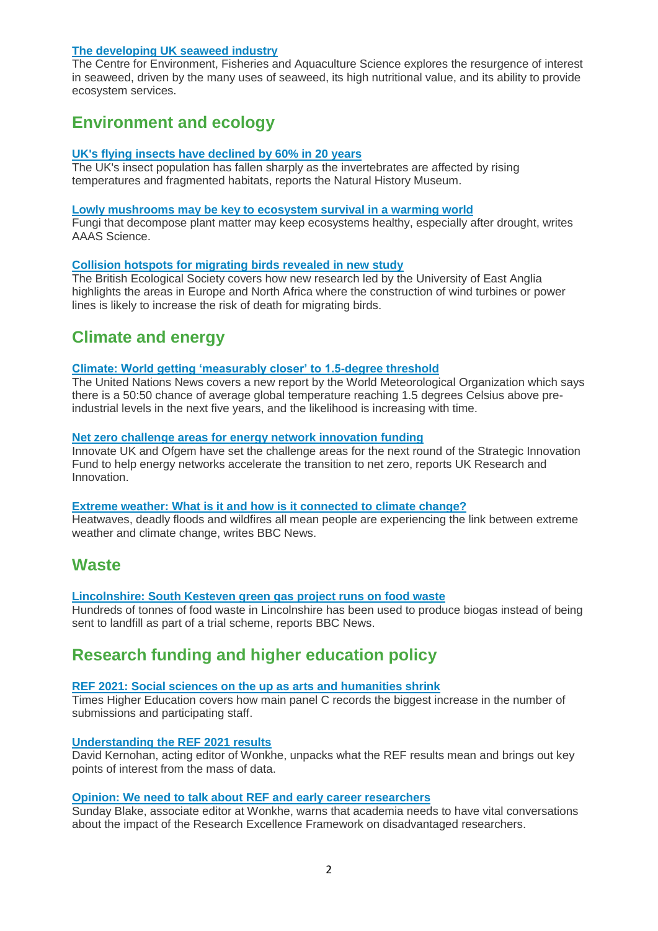#### **[The developing UK seaweed industry](https://marinescience.blog.gov.uk/2022/05/05/the-developing-uk-seaweed-industry/)**

The Centre for Environment, Fisheries and Aquaculture Science explores the resurgence of interest in seaweed, driven by the many uses of seaweed, its high nutritional value, and its ability to provide ecosystem services.

## **Environment and ecology**

#### **[UK's flying insects have declined by 60% in 20 years](https://www.nhm.ac.uk/discover/news/2022/may/uks-flying-insects-have-declined-60-in-20-years.html)**

The UK's insect population has fallen sharply as the invertebrates are affected by rising temperatures and fragmented habitats, reports the Natural History Museum.

#### **[Lowly mushrooms may be key to ecosystem survival in a warming world](https://www.science.org/content/article/lowly-mushrooms-may-be-key-ecosystem-survival-warming-world)**

Fungi that decompose plant matter may keep ecosystems healthy, especially after drought, writes AAAS Science.

#### **[Collision hotspots for migrating birds revealed in new study](https://www.britishecologicalsociety.org/collision-hotspots-for-migrating-birds-revealed-in-new-study/)**

The British Ecological Society covers how new research led by the University of East Anglia highlights the areas in Europe and North Africa where the construction of wind turbines or power lines is likely to increase the risk of death for migrating birds.

## **Climate and energy**

#### **[Climate: World getting 'measurably closer' to 1.5-degree threshold](https://news.un.org/en/story/2022/05/1117842)**

The United Nations News covers a new report by the World Meteorological Organization which says there is a 50:50 chance of average global temperature reaching 1.5 degrees Celsius above preindustrial levels in the next five years, and the likelihood is increasing with time.

#### **[Net zero challenge areas for energy network innovation funding](https://www.ukri.org/news/net-zero-challenge-areas-for-energy-network-innovation-funding/)**

Innovate UK and Ofgem have set the challenge areas for the next round of the Strategic Innovation Fund to help energy networks accelerate the transition to net zero, reports UK Research and Innovation.

#### **[Extreme weather: What is it and how is it connected to climate change?](https://www.bbc.co.uk/news/science-environment-58073295)**

Heatwaves, deadly floods and wildfires all mean people are experiencing the link between extreme weather and climate change, writes BBC News.

### **Waste**

#### **[Lincolnshire: South Kesteven green gas project runs on food waste](https://www.bbc.co.uk/news/uk-england-lincolnshire-61335988)**

Hundreds of tonnes of food waste in Lincolnshire has been used to produce biogas instead of being sent to landfill as part of a trial scheme, reports BBC News.

## **Research funding and higher education policy**

#### **[REF 2021: Social sciences on the up as arts and humanities shrink](https://www.timeshighereducation.com/news/ref-2021-subject-rankings)**

Times Higher Education covers how main panel C records the biggest increase in the number of submissions and participating staff.

#### **[Understanding the REF 2021 results](https://wonkhe.com/blogs/understanding-the-ref-2021-results/)**

David Kernohan, acting editor of Wonkhe, unpacks what the REF results mean and brings out key points of interest from the mass of data.

#### **[Opinion: We need to talk about REF and early career researchers](https://wonkhe.com/blogs/we-need-to-talk-about-ref-and-early-career-researchers/)**

Sunday Blake, associate editor at Wonkhe, warns that academia needs to have vital conversations about the impact of the Research Excellence Framework on disadvantaged researchers.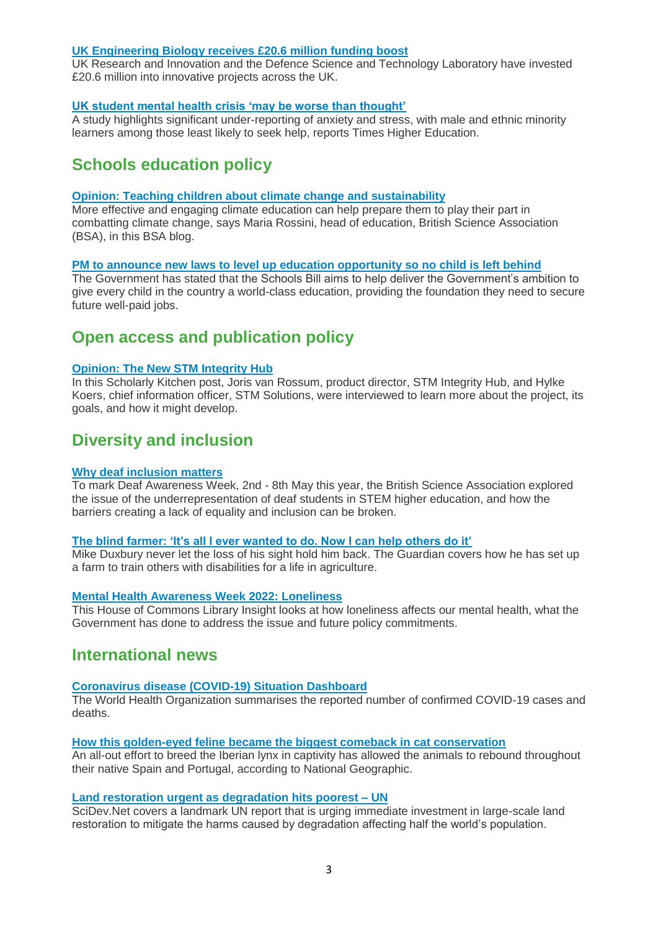#### **[UK Engineering Biology receives £20.6 million funding boost](https://www.ukri.org/news/uk-engineering-biology-receives-20-6-million-funding-boost/)**

UK Research and Innovation and the Defence Science and Technology Laboratory have invested £20.6 million into innovative projects across the UK.

#### **[UK student mental health crisis 'may be worse than thought'](https://www.timeshighereducation.com/news/uk-student-mental-health-crisis-may-be-worse-thought)**

A study highlights significant under-reporting of anxiety and stress, with male and ethnic minority learners among those least likely to seek help, reports Times Higher Education.

## **Schools education policy**

#### **[Opinion: Teaching children about climate change and sustainability](https://www.britishscienceassociation.org/blog/teaching-children-climate-change)**

More effective and engaging climate education can help prepare them to play their part in combatting climate change, says Maria Rossini, head of education, British Science Association (BSA), in this BSA blog.

#### **[PM to announce new laws to level up education opportunity so no child is left behind](https://www.gov.uk/government/news/pm-to-announce-new-laws-to-level-up-education-opportunity-so-no-child-is-left-behind)**

The Government has stated that the Schools Bill aims to help deliver the Government's ambition to give every child in the country a world-class education, providing the foundation they need to secure future well-paid jobs.

## **Open access and publication policy**

#### **[Opinion: The New STM Integrity Hub](https://scholarlykitchen.sspnet.org/2022/05/03/the-new-stm-integrity-hub/)**

In this Scholarly Kitchen post, Joris van Rossum, product director, STM Integrity Hub, and Hylke Koers, chief information officer, STM Solutions, were interviewed to learn more about the project, its goals, and how it might develop.

## **Diversity and inclusion**

#### **[Why deaf inclusion matters](https://www.britishscienceassociation.org/blog/why-deaf-inclusion-matters)**

To mark Deaf Awareness Week, 2nd - 8th May this year, the British Science Association explored the issue of the underrepresentation of deaf students in STEM higher education, and how the barriers creating a lack of equality and inclusion can be broken.

#### **[The blind farmer: 'It's all I ever wanted to do. Now I can help others do it'](https://www.theguardian.com/environment/2022/may/06/the-blind-farmer-its-all-i-ever-wanted-to-do-now-i-can-help-others-do-it)**

Mike Duxbury never let the loss of his sight hold him back. The Guardian covers how he has set up a farm to train others with disabilities for a life in agriculture.

#### **[Mental Health Awareness Week 2022: Loneliness](https://commonslibrary.parliament.uk/mental-health-awareness-week-2022-loneliness/)**

This House of Commons Library Insight looks at how loneliness affects our mental health, what the Government has done to address the issue and future policy commitments.

### **International news**

#### **[Coronavirus disease \(COVID-19\) Situation Dashboard](https://who.sprinklr.com/)**

The World Health Organization summarises the reported number of confirmed COVID-19 cases and deaths.

#### **[How this golden-eyed feline became the biggest comeback in cat conservation](https://www.nationalgeographic.co.uk/animals/2022/05/how-this-golden-eyed-feline-became-the-biggest-comeback-in-cat-conservation)**

An all-out effort to breed the Iberian lynx in captivity has allowed the animals to rebound throughout their native Spain and Portugal, according to National Geographic.

#### **[Land restoration urgent as degradation hits poorest –](https://www.scidev.net/global/news/land-restoration-urgent-as-degradation-hits-poorest-un/) UN**

SciDev.Net covers a landmark UN report that is urging immediate investment in large-scale land restoration to mitigate the harms caused by degradation affecting half the world's population.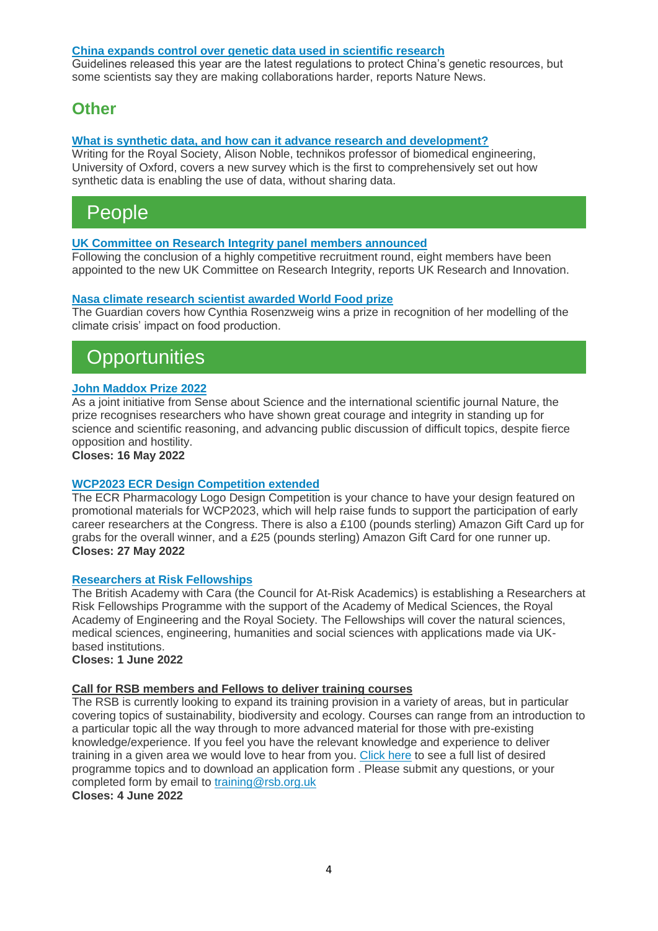#### **[China expands control over genetic data used in scientific research](https://www.nature.com/articles/d41586-022-01230-z)**

Guidelines released this year are the latest regulations to protect China's genetic resources, but some scientists say they are making collaborations harder, reports Nature News.

## **Other**

#### **[What is synthetic data, and how can it advance research and development?](https://royalsociety.org/blog/2022/05/synthetic-data/)**

Writing for the Royal Society, Alison Noble, technikos professor of biomedical engineering, University of Oxford, covers a new survey which is the first to comprehensively set out how synthetic data is enabling the use of data, without sharing data.

# People

#### **[UK Committee on Research Integrity panel members announced](https://www.ukri.org/news/uk-committee-on-research-integrity-panel-members-announced/)**

Following the conclusion of a highly competitive recruitment round, eight members have been appointed to the new UK Committee on Research Integrity, reports UK Research and Innovation.

#### **[Nasa climate research scientist awarded World Food prize](https://www.theguardian.com/environment/2022/may/05/world-food-prize-2022-winner-cynthia-rosenzweig-nasa)**

The Guardian covers how Cynthia Rosenzweig wins a prize in recognition of her modelling of the climate crisis' impact on food production.

# **Opportunities**

#### **[John Maddox Prize 2022](https://senseaboutscience.org/john-maddox-prize/)**

As a joint initiative from Sense about Science and the international scientific journal Nature, the prize recognises researchers who have shown great courage and integrity in standing up for science and scientific reasoning, and advancing public discussion of difficult topics, despite fierce opposition and hostility.

**Closes: 16 May 2022**

#### **[WCP2023 ECR Design Competition extended](https://wcp2023.org/early-career-researchers-pharmacology-logo-design-competition/)**

The ECR Pharmacology Logo Design Competition is your chance to have your design featured on promotional materials for WCP2023, which will help raise funds to support the participation of early career researchers at the Congress. There is also a £100 (pounds sterling) Amazon Gift Card up for grabs for the overall winner, and a £25 (pounds sterling) Amazon Gift Card for one runner up. **Closes: 27 May 2022**

#### **[Researchers at Risk Fellowships](https://www.thebritishacademy.ac.uk/funding/researchers-at-risk-fellowships/)**

The British Academy with Cara (the Council for At-Risk Academics) is establishing a Researchers at Risk Fellowships Programme with the support of the Academy of Medical Sciences, the Royal Academy of Engineering and the Royal Society. The Fellowships will cover the natural sciences, medical sciences, engineering, humanities and social sciences with applications made via UKbased institutions.

**Closes: 1 June 2022**

#### **Call for RSB members and Fellows to deliver training courses**

The RSB is currently looking to expand its training provision in a variety of areas, but in particular covering topics of sustainability, biodiversity and ecology. Courses can range from an introduction to a particular topic all the way through to more advanced material for those with pre-existing knowledge/experience. If you feel you have the relevant knowledge and experience to deliver training in a given area we would love to hear from you. [Click here](http://goto.rsb.org.uk/rsb2tlbs) to see a full list of desired programme topics and to download an application form . Please submit any questions, or your completed form by email to [training@rsb.org.uk](mailto:training@rsb.org.uk)

**Closes: 4 June 2022**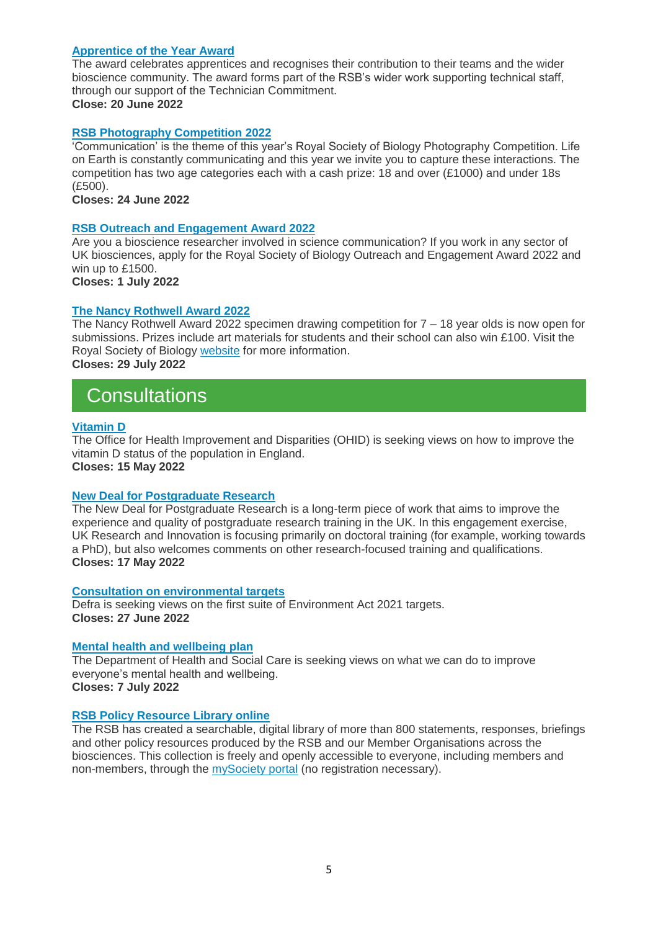#### **[Apprentice of the Year Award](https://www.rsb.org.uk/get-involved/rsb-awards/apprentice-of-the-year)**

The award celebrates apprentices and recognises their contribution to their teams and the wider bioscience community. The award forms part of the RSB's wider work supporting technical staff, through our support of the Technician Commitment. **Close: 20 June 2022**

#### **[RSB Photography Competition 2022](https://www.rsb.org.uk/get-involved/rsb-competitions/photography-competition)**

'Communication' is the theme of this year's Royal Society of Biology Photography Competition. Life on Earth is constantly communicating and this year we invite you to capture these interactions. The competition has two age categories each with a cash prize: 18 and over (£1000) and under 18s (£500).

**Closes: 24 June 2022**

#### **[RSB Outreach and Engagement Award 2022](https://www.rsb.org.uk/get-involved/rsb-awards/outreach-awards)**

Are you a bioscience researcher involved in science communication? If you work in any sector of UK biosciences, apply for the Royal Society of Biology Outreach and Engagement Award 2022 and win up to £1500.

**Closes: 1 July 2022**

#### **[The Nancy Rothwell Award 2022](https://www.rsb.org.uk/get-involved/rsb-awards/nancy-rothwell-award)**

The Nancy Rothwell Award 2022 specimen drawing competition for  $7 - 18$  year olds is now open for submissions. Prizes include art materials for students and their school can also win £100. Visit the Royal Society of Biology [website](https://www.rsb.org.uk/get-involved/rsb-awards/nancy-rothwell-award) for more information. **Closes: 29 July 2022**

## **Consultations**

#### **[Vitamin D](https://www.gov.uk/government/consultations/vitamin-d-call-for-evidence)**

The Office for Health Improvement and Disparities (OHID) is seeking views on how to improve the vitamin D status of the population in England. **Closes: 15 May 2022**

#### **[New Deal for Postgraduate Research](https://engagementhub.ukri.org/skills/new-deal-for-postgraduate-research-call-for-input/)**

The New Deal for Postgraduate Research is a long-term piece of work that aims to improve the experience and quality of postgraduate research training in the UK. In this engagement exercise, UK Research and Innovation is focusing primarily on doctoral training (for example, working towards a PhD), but also welcomes comments on other research-focused training and qualifications. **Closes: 17 May 2022**

#### **[Consultation on environmental targets](https://consult.defra.gov.uk/natural-environment-policy/consultation-on-environmental-targets/)**

Defra is seeking views on the first suite of Environment Act 2021 targets. **Closes: 27 June 2022**

#### **[Mental health and wellbeing plan](https://www.gov.uk/government/consultations/mental-health-and-wellbeing-plan-discussion-paper-and-call-for-evidence)**

The Department of Health and Social Care is seeking views on what we can do to improve everyone's mental health and wellbeing. **Closes: 7 July 2022**

#### **[RSB Policy Resource Library online](https://www.rsb.org.uk/policylibrary)**

The RSB has created a searchable, digital library of more than 800 statements, responses, briefings and other policy resources produced by the RSB and our Member Organisations across the biosciences. This collection is freely and openly accessible to everyone, including members and non-members, through the [mySociety portal](https://www.rsb.org.uk/policylibrary) (no registration necessary).